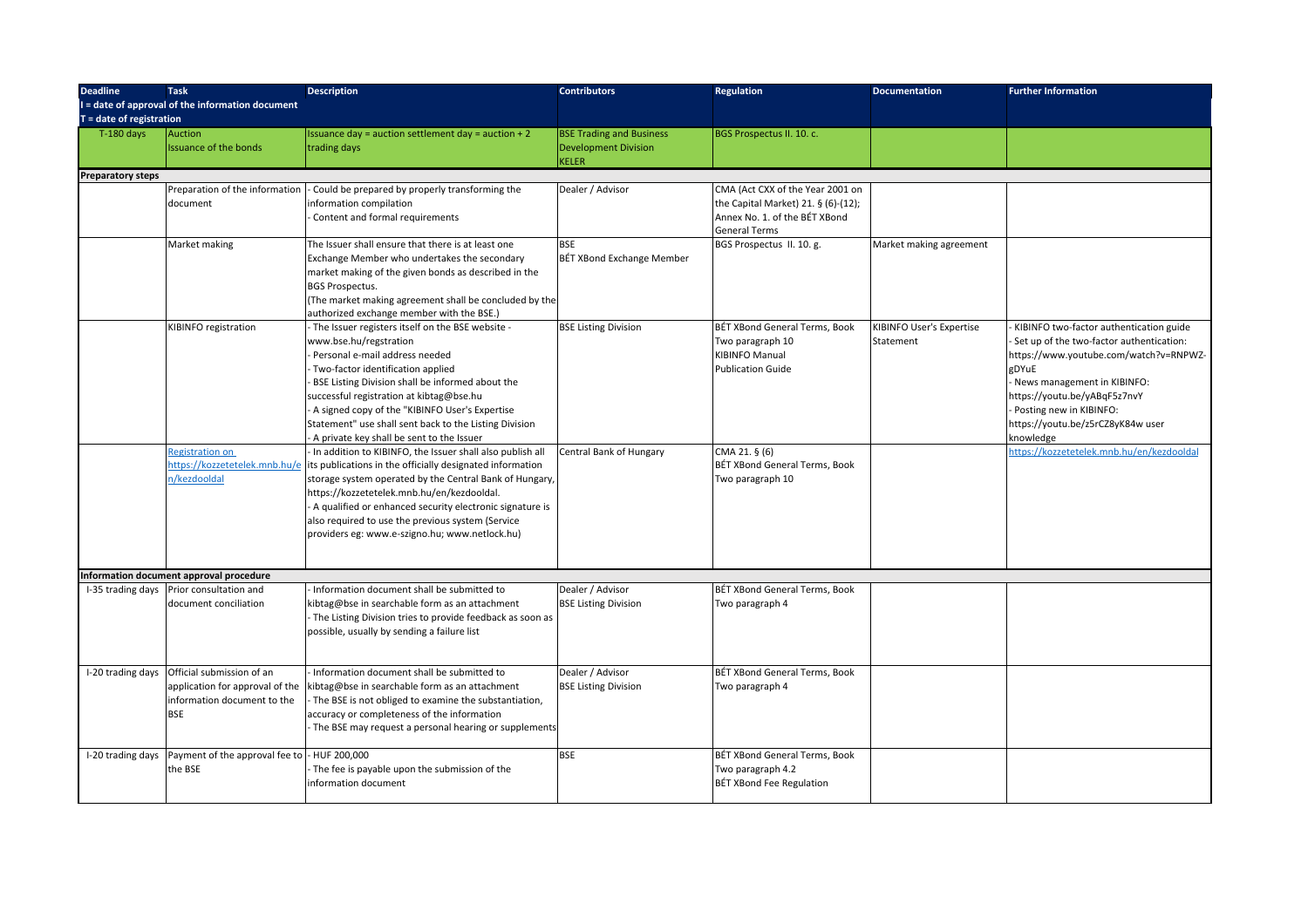| <b>Deadline</b>            | <b>Task</b>                                      | <b>Description</b>                                                                       | <b>Contributors</b>              | <b>Regulation</b>                   | <b>Documentation</b>     | <b>Further Information</b>                 |
|----------------------------|--------------------------------------------------|------------------------------------------------------------------------------------------|----------------------------------|-------------------------------------|--------------------------|--------------------------------------------|
|                            | I = date of approval of the information document |                                                                                          |                                  |                                     |                          |                                            |
| $T =$ date of registration |                                                  |                                                                                          |                                  |                                     |                          |                                            |
| $T-180$ days               | Auction                                          | Issuance day = auction settlement day = auction $+2$                                     | <b>BSE Trading and Business</b>  | BGS Prospectus II. 10. c.           |                          |                                            |
|                            | <b>Issuance of the bonds</b>                     | trading days                                                                             | <b>Development Division</b>      |                                     |                          |                                            |
|                            |                                                  |                                                                                          | <b>KELER</b>                     |                                     |                          |                                            |
| <b>Preparatory steps</b>   |                                                  |                                                                                          |                                  |                                     |                          |                                            |
|                            | Preparation of the information                   | Could be prepared by properly transforming the                                           | Dealer / Advisor                 | CMA (Act CXX of the Year 2001 on    |                          |                                            |
|                            | document                                         | information compilation                                                                  |                                  | the Capital Market) 21. § (6)-(12); |                          |                                            |
|                            |                                                  | Content and formal requirements                                                          |                                  | Annex No. 1. of the BÉT XBond       |                          |                                            |
|                            |                                                  |                                                                                          |                                  | <b>General Terms</b>                |                          |                                            |
|                            | Market making                                    | The Issuer shall ensure that there is at least one                                       | <b>BSE</b>                       | BGS Prospectus II. 10. g.           | Market making agreement  |                                            |
|                            |                                                  | Exchange Member who undertakes the secondary                                             | <b>BÉT XBond Exchange Member</b> |                                     |                          |                                            |
|                            |                                                  | market making of the given bonds as described in the                                     |                                  |                                     |                          |                                            |
|                            |                                                  | <b>BGS Prospectus.</b>                                                                   |                                  |                                     |                          |                                            |
|                            |                                                  | (The market making agreement shall be concluded by the                                   |                                  |                                     |                          |                                            |
|                            |                                                  | authorized exchange member with the BSE.)                                                |                                  |                                     |                          |                                            |
|                            | KIBINFO registration                             | - The Issuer registers itself on the BSE website -                                       | <b>BSE Listing Division</b>      | BÉT XBond General Terms, Book       | KIBINFO User's Expertise | KIBINFO two-factor authentication guide    |
|                            |                                                  | www.bse.hu/regstration                                                                   |                                  | Two paragraph 10                    | Statement                | - Set up of the two-factor authentication: |
|                            |                                                  | Personal e-mail address needed                                                           |                                  | <b>KIBINFO Manual</b>               |                          | https://www.youtube.com/watch?v=RNPWZ-     |
|                            |                                                  | - Two-factor identification applied                                                      |                                  | <b>Publication Guide</b>            |                          | gDYuE                                      |
|                            |                                                  | BSE Listing Division shall be informed about the                                         |                                  |                                     |                          | - News management in KIBINFO:              |
|                            |                                                  | successful registration at kibtag@bse.hu                                                 |                                  |                                     |                          | https://youtu.be/yABqF5z7nvY               |
|                            |                                                  | - A signed copy of the "KIBINFO User's Expertise                                         |                                  |                                     |                          | - Posting new in KIBINFO:                  |
|                            |                                                  | Statement" use shall sent back to the Listing Division                                   |                                  |                                     |                          | https://youtu.be/z5rCZ8yK84w user          |
|                            |                                                  | - A private key shall be sent to the Issuer                                              |                                  |                                     |                          | knowledge                                  |
|                            | Registration on                                  | - In addition to KIBINFO, the Issuer shall also publish all                              | Central Bank of Hungary          | CMA 21. § (6)                       |                          | https://kozzetetelek.mnb.hu/en/kezdooldal  |
|                            |                                                  | https://kozzetetelek.mnb.hu/e lits publications in the officially designated information |                                  | BÉT XBond General Terms, Book       |                          |                                            |
|                            | 1/kezdooldal                                     | storage system operated by the Central Bank of Hungary,                                  |                                  | Two paragraph 10                    |                          |                                            |
|                            |                                                  | https://kozzetetelek.mnb.hu/en/kezdooldal.                                               |                                  |                                     |                          |                                            |
|                            |                                                  | - A qualified or enhanced security electronic signature is                               |                                  |                                     |                          |                                            |
|                            |                                                  | also required to use the previous system (Service                                        |                                  |                                     |                          |                                            |
|                            |                                                  | providers eg: www.e-szigno.hu; www.netlock.hu)                                           |                                  |                                     |                          |                                            |
|                            |                                                  |                                                                                          |                                  |                                     |                          |                                            |
|                            |                                                  |                                                                                          |                                  |                                     |                          |                                            |
|                            | Information document approval procedure          |                                                                                          |                                  |                                     |                          |                                            |
|                            | I-35 trading days Prior consultation and         | Information document shall be submitted to                                               | Dealer / Advisor                 | BÉT XBond General Terms, Book       |                          |                                            |
|                            | document conciliation                            | kibtag@bse in searchable form as an attachment                                           | <b>BSE Listing Division</b>      | Two paragraph 4                     |                          |                                            |
|                            |                                                  | - The Listing Division tries to provide feedback as soon as                              |                                  |                                     |                          |                                            |
|                            |                                                  | possible, usually by sending a failure list                                              |                                  |                                     |                          |                                            |
|                            |                                                  |                                                                                          |                                  |                                     |                          |                                            |
|                            |                                                  |                                                                                          |                                  |                                     |                          |                                            |
| I-20 trading days          | Official submission of an                        | Information document shall be submitted to                                               | Dealer / Advisor                 | BÉT XBond General Terms, Book       |                          |                                            |
|                            | application for approval of the                  | kibtag@bse in searchable form as an attachment                                           | <b>BSE Listing Division</b>      | Two paragraph 4                     |                          |                                            |
|                            | information document to the                      | The BSE is not obliged to examine the substantiation,                                    |                                  |                                     |                          |                                            |
|                            | <b>BSE</b>                                       | accuracy or completeness of the information                                              |                                  |                                     |                          |                                            |
|                            |                                                  | - The BSE may request a personal hearing or supplements                                  |                                  |                                     |                          |                                            |
|                            |                                                  |                                                                                          |                                  |                                     |                          |                                            |
| I-20 trading days          | Payment of the approval fee to                   | - HUF 200,000                                                                            | <b>BSE</b>                       | BÉT XBond General Terms, Book       |                          |                                            |
|                            | the BSE                                          | - The fee is payable upon the submission of the                                          |                                  | Two paragraph 4.2                   |                          |                                            |
|                            |                                                  | information document                                                                     |                                  | BÉT XBond Fee Regulation            |                          |                                            |
|                            |                                                  |                                                                                          |                                  |                                     |                          |                                            |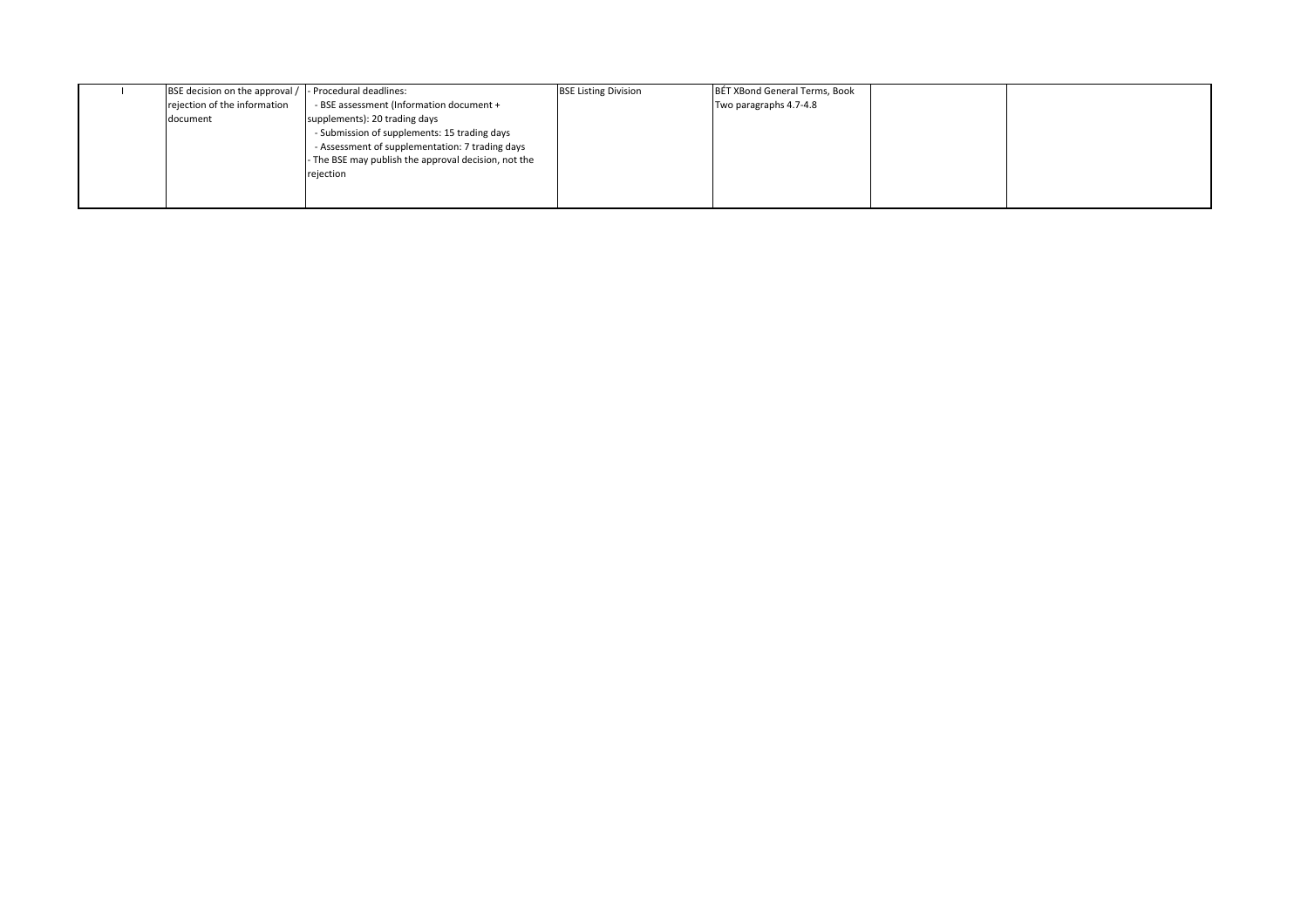| BSE decision on the approval / | - Procedural deadlines:                              | <b>BSE Listing Division</b> | BÉT XBond General Terms, Book |  |
|--------------------------------|------------------------------------------------------|-----------------------------|-------------------------------|--|
| rejection of the information   | - BSE assessment (Information document +             |                             | Two paragraphs 4.7-4.8        |  |
| document                       | supplements): 20 trading days                        |                             |                               |  |
|                                | - Submission of supplements: 15 trading days         |                             |                               |  |
|                                | - Assessment of supplementation: 7 trading days      |                             |                               |  |
|                                | - The BSE may publish the approval decision, not the |                             |                               |  |
|                                | rejection                                            |                             |                               |  |
|                                |                                                      |                             |                               |  |
|                                |                                                      |                             |                               |  |